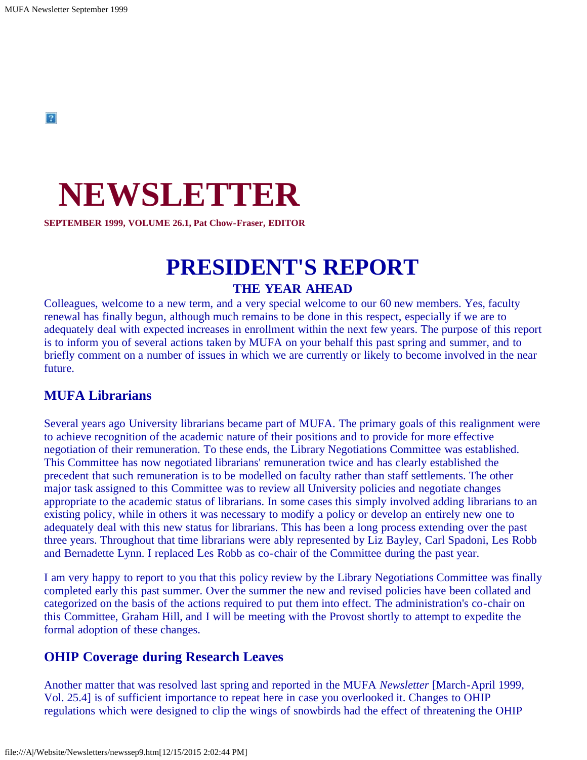# **NEWSLETTER**

**SEPTEMBER 1999, VOLUME 26.1, Pat Chow-Fraser, EDITOR**

# **PRESIDENT'S REPORT THE YEAR AHEAD**

Colleagues, welcome to a new term, and a very special welcome to our 60 new members. Yes, faculty renewal has finally begun, although much remains to be done in this respect, especially if we are to adequately deal with expected increases in enrollment within the next few years. The purpose of this report is to inform you of several actions taken by MUFA on your behalf this past spring and summer, and to briefly comment on a number of issues in which we are currently or likely to become involved in the near future.

#### **MUFA Librarians**

Several years ago University librarians became part of MUFA. The primary goals of this realignment were to achieve recognition of the academic nature of their positions and to provide for more effective negotiation of their remuneration. To these ends, the Library Negotiations Committee was established. This Committee has now negotiated librarians' remuneration twice and has clearly established the precedent that such remuneration is to be modelled on faculty rather than staff settlements. The other major task assigned to this Committee was to review all University policies and negotiate changes appropriate to the academic status of librarians. In some cases this simply involved adding librarians to an existing policy, while in others it was necessary to modify a policy or develop an entirely new one to adequately deal with this new status for librarians. This has been a long process extending over the past three years. Throughout that time librarians were ably represented by Liz Bayley, Carl Spadoni, Les Robb and Bernadette Lynn. I replaced Les Robb as co-chair of the Committee during the past year.

I am very happy to report to you that this policy review by the Library Negotiations Committee was finally completed early this past summer. Over the summer the new and revised policies have been collated and categorized on the basis of the actions required to put them into effect. The administration's co-chair on this Committee, Graham Hill, and I will be meeting with the Provost shortly to attempt to expedite the formal adoption of these changes.

#### **OHIP Coverage during Research Leaves**

Another matter that was resolved last spring and reported in the MUFA *Newsletter* [March-April 1999, Vol. 25.4] is of sufficient importance to repeat here in case you overlooked it. Changes to OHIP regulations which were designed to clip the wings of snowbirds had the effect of threatening the OHIP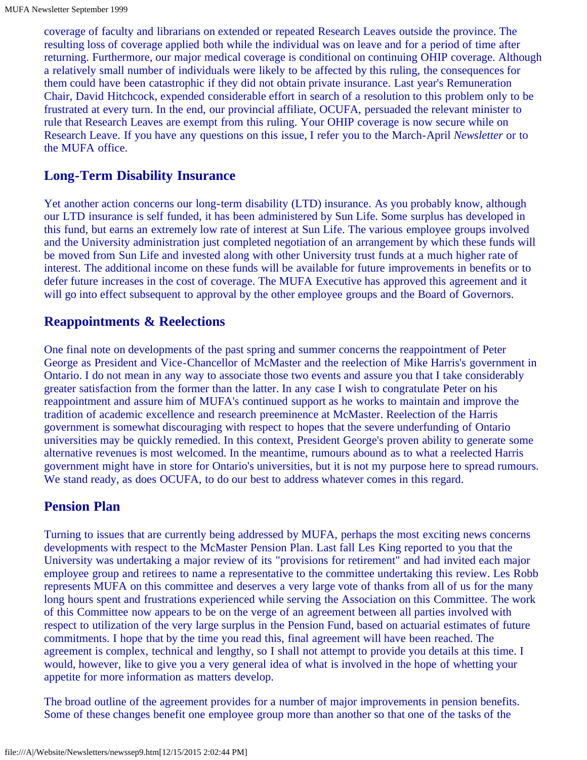coverage of faculty and librarians on extended or repeated Research Leaves outside the province. The resulting loss of coverage applied both while the individual was on leave and for a period of time after returning. Furthermore, our major medical coverage is conditional on continuing OHIP coverage. Although a relatively small number of individuals were likely to be affected by this ruling, the consequences for them could have been catastrophic if they did not obtain private insurance. Last year's Remuneration Chair, David Hitchcock, expended considerable effort in search of a resolution to this problem only to be frustrated at every turn. In the end, our provincial affiliate, OCUFA, persuaded the relevant minister to rule that Research Leaves are exempt from this ruling. Your OHIP coverage is now secure while on Research Leave. If you have any questions on this issue, I refer you to the March-April *Newsletter* or to the MUFA office.

### **Long-Term Disability Insurance**

Yet another action concerns our long-term disability (LTD) insurance. As you probably know, although our LTD insurance is self funded, it has been administered by Sun Life. Some surplus has developed in this fund, but earns an extremely low rate of interest at Sun Life. The various employee groups involved and the University administration just completed negotiation of an arrangement by which these funds will be moved from Sun Life and invested along with other University trust funds at a much higher rate of interest. The additional income on these funds will be available for future improvements in benefits or to defer future increases in the cost of coverage. The MUFA Executive has approved this agreement and it will go into effect subsequent to approval by the other employee groups and the Board of Governors.

### **Reappointments & Reelections**

One final note on developments of the past spring and summer concerns the reappointment of Peter George as President and Vice-Chancellor of McMaster and the reelection of Mike Harris's government in Ontario. I do not mean in any way to associate those two events and assure you that I take considerably greater satisfaction from the former than the latter. In any case I wish to congratulate Peter on his reappointment and assure him of MUFA's continued support as he works to maintain and improve the tradition of academic excellence and research preeminence at McMaster. Reelection of the Harris government is somewhat discouraging with respect to hopes that the severe underfunding of Ontario universities may be quickly remedied. In this context, President George's proven ability to generate some alternative revenues is most welcomed. In the meantime, rumours abound as to what a reelected Harris government might have in store for Ontario's universities, but it is not my purpose here to spread rumours. We stand ready, as does OCUFA, to do our best to address whatever comes in this regard.

### **Pension Plan**

Turning to issues that are currently being addressed by MUFA, perhaps the most exciting news concerns developments with respect to the McMaster Pension Plan. Last fall Les King reported to you that the University was undertaking a major review of its "provisions for retirement" and had invited each major employee group and retirees to name a representative to the committee undertaking this review. Les Robb represents MUFA on this committee and deserves a very large vote of thanks from all of us for the many long hours spent and frustrations experienced while serving the Association on this Committee. The work of this Committee now appears to be on the verge of an agreement between all parties involved with respect to utilization of the very large surplus in the Pension Fund, based on actuarial estimates of future commitments. I hope that by the time you read this, final agreement will have been reached. The agreement is complex, technical and lengthy, so I shall not attempt to provide you details at this time. I would, however, like to give you a very general idea of what is involved in the hope of whetting your appetite for more information as matters develop.

The broad outline of the agreement provides for a number of major improvements in pension benefits. Some of these changes benefit one employee group more than another so that one of the tasks of the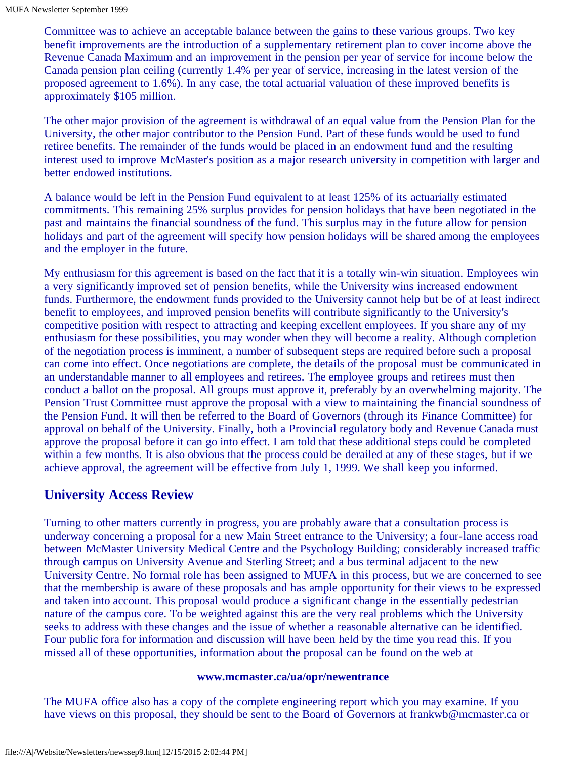Committee was to achieve an acceptable balance between the gains to these various groups. Two key benefit improvements are the introduction of a supplementary retirement plan to cover income above the Revenue Canada Maximum and an improvement in the pension per year of service for income below the Canada pension plan ceiling (currently 1.4% per year of service, increasing in the latest version of the proposed agreement to 1.6%). In any case, the total actuarial valuation of these improved benefits is approximately \$105 million.

The other major provision of the agreement is withdrawal of an equal value from the Pension Plan for the University, the other major contributor to the Pension Fund. Part of these funds would be used to fund retiree benefits. The remainder of the funds would be placed in an endowment fund and the resulting interest used to improve McMaster's position as a major research university in competition with larger and better endowed institutions.

A balance would be left in the Pension Fund equivalent to at least 125% of its actuarially estimated commitments. This remaining 25% surplus provides for pension holidays that have been negotiated in the past and maintains the financial soundness of the fund. This surplus may in the future allow for pension holidays and part of the agreement will specify how pension holidays will be shared among the employees and the employer in the future.

My enthusiasm for this agreement is based on the fact that it is a totally win-win situation. Employees win a very significantly improved set of pension benefits, while the University wins increased endowment funds. Furthermore, the endowment funds provided to the University cannot help but be of at least indirect benefit to employees, and improved pension benefits will contribute significantly to the University's competitive position with respect to attracting and keeping excellent employees. If you share any of my enthusiasm for these possibilities, you may wonder when they will become a reality. Although completion of the negotiation process is imminent, a number of subsequent steps are required before such a proposal can come into effect. Once negotiations are complete, the details of the proposal must be communicated in an understandable manner to all employees and retirees. The employee groups and retirees must then conduct a ballot on the proposal. All groups must approve it, preferably by an overwhelming majority. The Pension Trust Committee must approve the proposal with a view to maintaining the financial soundness of the Pension Fund. It will then be referred to the Board of Governors (through its Finance Committee) for approval on behalf of the University. Finally, both a Provincial regulatory body and Revenue Canada must approve the proposal before it can go into effect. I am told that these additional steps could be completed within a few months. It is also obvious that the process could be derailed at any of these stages, but if we achieve approval, the agreement will be effective from July 1, 1999. We shall keep you informed.

### **University Access Review**

Turning to other matters currently in progress, you are probably aware that a consultation process is underway concerning a proposal for a new Main Street entrance to the University; a four-lane access road between McMaster University Medical Centre and the Psychology Building; considerably increased traffic through campus on University Avenue and Sterling Street; and a bus terminal adjacent to the new University Centre. No formal role has been assigned to MUFA in this process, but we are concerned to see that the membership is aware of these proposals and has ample opportunity for their views to be expressed and taken into account. This proposal would produce a significant change in the essentially pedestrian nature of the campus core. To be weighted against this are the very real problems which the University seeks to address with these changes and the issue of whether a reasonable alternative can be identified. Four public fora for information and discussion will have been held by the time you read this. If you missed all of these opportunities, information about the proposal can be found on the web at

#### **www.mcmaster.ca/ua/opr/newentrance**

The MUFA office also has a copy of the complete engineering report which you may examine. If you have views on this proposal, they should be sent to the Board of Governors at frankwb@mcmaster.ca or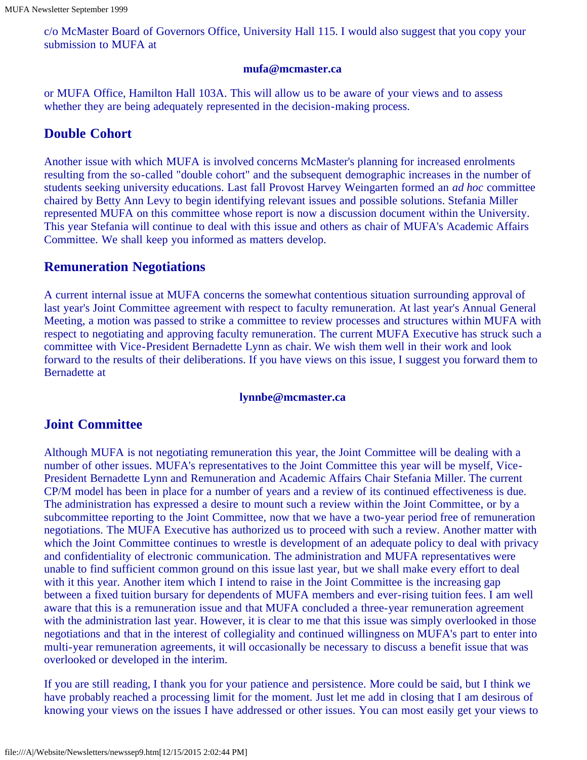c/o McMaster Board of Governors Office, University Hall 115. I would also suggest that you copy your submission to MUFA at

#### **mufa@mcmaster.ca**

or MUFA Office, Hamilton Hall 103A. This will allow us to be aware of your views and to assess whether they are being adequately represented in the decision-making process.

### **Double Cohort**

Another issue with which MUFA is involved concerns McMaster's planning for increased enrolments resulting from the so-called "double cohort" and the subsequent demographic increases in the number of students seeking university educations. Last fall Provost Harvey Weingarten formed an *ad hoc* committee chaired by Betty Ann Levy to begin identifying relevant issues and possible solutions. Stefania Miller represented MUFA on this committee whose report is now a discussion document within the University. This year Stefania will continue to deal with this issue and others as chair of MUFA's Academic Affairs Committee. We shall keep you informed as matters develop.

### **Remuneration Negotiations**

A current internal issue at MUFA concerns the somewhat contentious situation surrounding approval of last year's Joint Committee agreement with respect to faculty remuneration. At last year's Annual General Meeting, a motion was passed to strike a committee to review processes and structures within MUFA with respect to negotiating and approving faculty remuneration. The current MUFA Executive has struck such a committee with Vice-President Bernadette Lynn as chair. We wish them well in their work and look forward to the results of their deliberations. If you have views on this issue, I suggest you forward them to Bernadette at

#### **lynnbe@mcmaster.ca**

### **Joint Committee**

Although MUFA is not negotiating remuneration this year, the Joint Committee will be dealing with a number of other issues. MUFA's representatives to the Joint Committee this year will be myself, Vice-President Bernadette Lynn and Remuneration and Academic Affairs Chair Stefania Miller. The current CP/M model has been in place for a number of years and a review of its continued effectiveness is due. The administration has expressed a desire to mount such a review within the Joint Committee, or by a subcommittee reporting to the Joint Committee, now that we have a two-year period free of remuneration negotiations. The MUFA Executive has authorized us to proceed with such a review. Another matter with which the Joint Committee continues to wrestle is development of an adequate policy to deal with privacy and confidentiality of electronic communication. The administration and MUFA representatives were unable to find sufficient common ground on this issue last year, but we shall make every effort to deal with it this year. Another item which I intend to raise in the Joint Committee is the increasing gap between a fixed tuition bursary for dependents of MUFA members and ever-rising tuition fees. I am well aware that this is a remuneration issue and that MUFA concluded a three-year remuneration agreement with the administration last year. However, it is clear to me that this issue was simply overlooked in those negotiations and that in the interest of collegiality and continued willingness on MUFA's part to enter into multi-year remuneration agreements, it will occasionally be necessary to discuss a benefit issue that was overlooked or developed in the interim.

If you are still reading, I thank you for your patience and persistence. More could be said, but I think we have probably reached a processing limit for the moment. Just let me add in closing that I am desirous of knowing your views on the issues I have addressed or other issues. You can most easily get your views to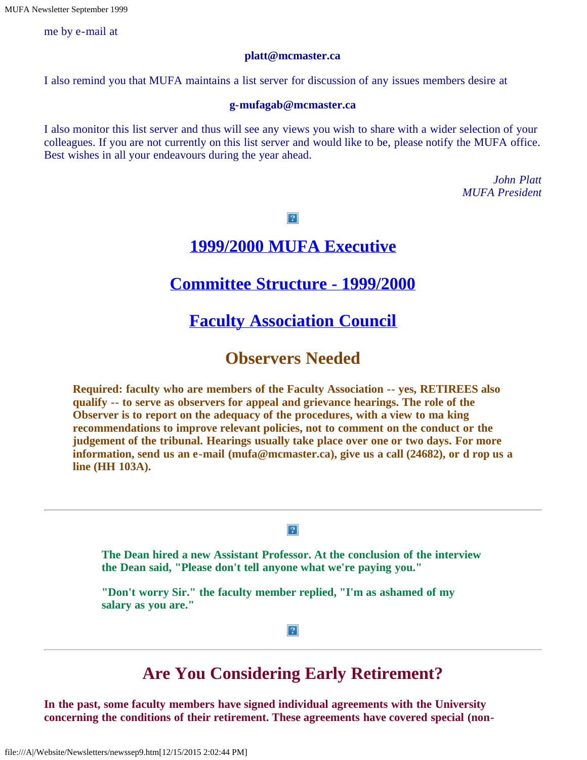me by e-mail at

#### **platt@mcmaster.ca**

I also remind you that MUFA maintains a list server for discussion of any issues members desire at

#### **g-mufagab@mcmaster.ca**

I also monitor this list server and thus will see any views you wish to share with a wider selection of your colleagues. If you are not currently on this list server and would like to be, please notify the MUFA office. Best wishes in all your endeavours during the year ahead.

> *John Platt MUFA President*

 $|2|$ 

### **[1999/2000 MUFA Executive](file:///A|/Website/Newsletters/newexec.htm)**

### **[Committee Structure - 1999/2000](file:///A|/Website/Newsletters/committe.htm)**

# **[Faculty Association Council](file:///A|/Website/Newsletters/council.htm)**

### **Observers Needed**

**Required: faculty who are members of the Faculty Association -- yes, RETIREES also qualify -- to serve as observers for appeal and grievance hearings. The role of the Observer is to report on the adequacy of the procedures, with a view to ma king recommendations to improve relevant policies, not to comment on the conduct or the judgement of the tribunal. Hearings usually take place over one or two days. For more information, send us an e-mail (mufa@mcmaster.ca), give us a call (24682), or d rop us a line (HH 103A).**

#### $|2|$

**The Dean hired a new Assistant Professor. At the conclusion of the interview the Dean said, "Please don't tell anyone what we're paying you."**

**"Don't worry Sir." the faculty member replied, "I'm as ashamed of my salary as you are."**

 $|2|$ 

# **Are You Considering Early Retirement?**

**In the past, some faculty members have signed individual agreements with the University concerning the conditions of their retirement. These agreements have covered special (non-**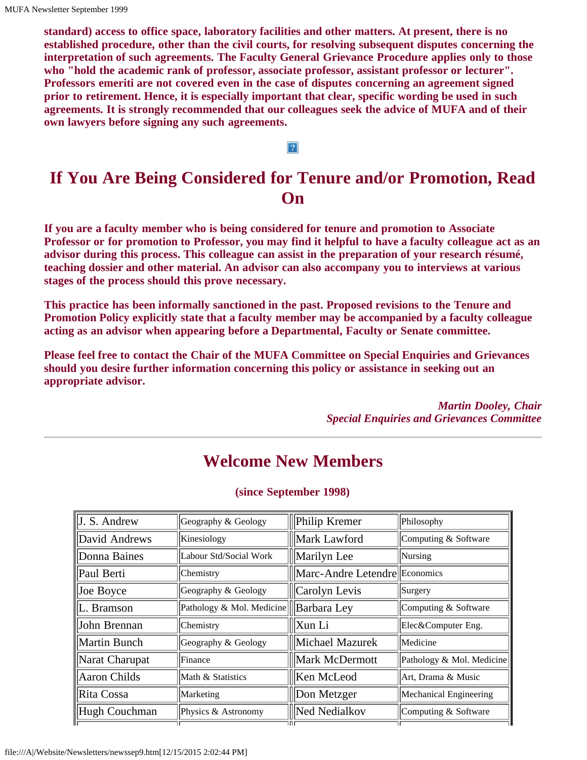**standard) access to office space, laboratory facilities and other matters. At present, there is no established procedure, other than the civil courts, for resolving subsequent disputes concerning the interpretation of such agreements. The Faculty General Grievance Procedure applies only to those who "hold the academic rank of professor, associate professor, assistant professor or lecturer". Professors emeriti are not covered even in the case of disputes concerning an agreement signed prior to retirement. Hence, it is especially important that clear, specific wording be used in such agreements. It is strongly recommended that our colleagues seek the advice of MUFA and of their own lawyers before signing any such agreements.**

#### $\overline{?}$

# **If You Are Being Considered for Tenure and/or Promotion, Read On**

**If you are a faculty member who is being considered for tenure and promotion to Associate Professor or for promotion to Professor, you may find it helpful to have a faculty colleague act as an advisor during this process. This colleague can assist in the preparation of your research résumé, teaching dossier and other material. An advisor can also accompany you to interviews at various stages of the process should this prove necessary.**

**This practice has been informally sanctioned in the past. Proposed revisions to the Tenure and Promotion Policy explicitly state that a faculty member may be accompanied by a faculty colleague acting as an advisor when appearing before a Departmental, Faculty or Senate committee.**

**Please feel free to contact the Chair of the MUFA Committee on Special Enquiries and Grievances should you desire further information concerning this policy or assistance in seeking out an appropriate advisor.**

> *Martin Dooley, Chair Special Enquiries and Grievances Committee*

# **Welcome New Members**

| J. S. Andrew        | Geography & Geology       | <b>Philip Kremer</b>          | Philosophy                |
|---------------------|---------------------------|-------------------------------|---------------------------|
| David Andrews       | Kinesiology               | Mark Lawford                  | Computing & Software      |
| Donna Baines        | Labour Std/Social Work    | Marilyn Lee                   | Nursing                   |
| Paul Berti          | Chemistry                 | Marc-Andre Letendre Economics |                           |
| Joe Boyce           | Geography & Geology       | $\vert$ Carolyn Levis         | Surgery                   |
| L. Bramson          | Pathology & Mol. Medicine | $\parallel$ Barbara Ley       | Computing & Software      |
| John Brennan        | Chemistry                 | Xun Li                        | Elec&Computer Eng.        |
| <b>Martin Bunch</b> | Geography & Geology       | Michael Mazurek               | Medicine                  |
| Narat Charupat      | Finance                   | Mark McDermott                | Pathology & Mol. Medicine |
| <b>Aaron Childs</b> | Math & Statistics         | Ken McLeod                    | Art, Drama & Music        |
| Rita Cossa          | Marketing                 | Don Metzger                   | Mechanical Engineering    |
| Hugh Couchman       | Physics & Astronomy       | <b>Ned Nedialkov</b>          | Computing & Software      |
|                     |                           | l Fl F                        |                           |

#### **(since September 1998)**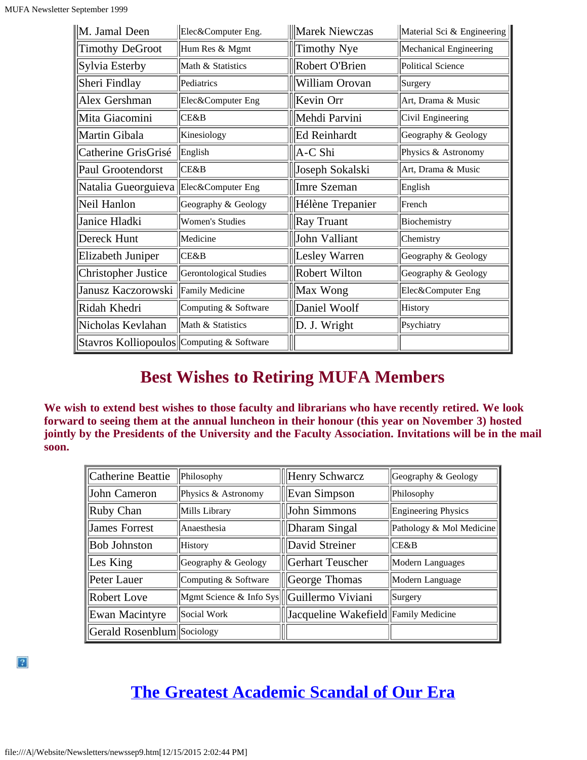| M. Jamal Deen                             | Elec&Computer Eng.     | Marek Niewczas   | Material Sci & Engineering |
|-------------------------------------------|------------------------|------------------|----------------------------|
| <b>Timothy DeGroot</b>                    | Hum Res & Mgmt         | Timothy Nye      | Mechanical Engineering     |
| Sylvia Esterby                            | Math & Statistics      | Robert O'Brien   | <b>Political Science</b>   |
| Sheri Findlay                             | Pediatrics             | William Orovan   | Surgery                    |
| Alex Gershman                             | Elec&Computer Eng      | Kevin Orr        | Art, Drama & Music         |
| Mita Giacomini                            | lCE&B                  | Mehdi Parvini    | Civil Engineering          |
| Martin Gibala                             | Kinesiology            | Ed Reinhardt     | Geography & Geology        |
| Catherine GrisGrisé                       | English                | A-C Shi          | Physics & Astronomy        |
| Paul Grootendorst                         | CE&B                   | Joseph Sokalski  | Art, Drama & Music         |
| Natalia Gueorguieva                       | Elec&Computer Eng      | Imre Szeman      | English                    |
| Neil Hanlon                               | Geography & Geology    | Hélène Trepanier | French                     |
| Janice Hladki                             | <b>Women's Studies</b> | Ray Truant       | Biochemistry               |
| Dereck Hunt                               | Medicine               | John Valliant    | Chemistry                  |
| Elizabeth Juniper                         | <b>CE&amp;B</b>        | Lesley Warren    | Geography & Geology        |
| <b>Christopher Justice</b>                | Gerontological Studies | Robert Wilton    | Geography & Geology        |
| Janusz Kaczorowski                        | <b>Family Medicine</b> | Max Wong         | Elec&Computer Eng          |
| Ridah Khedri                              | Computing & Software   | Daniel Woolf     | <b>History</b>             |
| Nicholas Kevlahan                         | Math & Statistics      | D. J. Wright     | Psychiatry                 |
| Stavros Kolliopoulos Computing & Software |                        |                  |                            |

# **Best Wishes to Retiring MUFA Members**

**We wish to extend best wishes to those faculty and librarians who have recently retired. We look forward to seeing them at the annual luncheon in their honour (this year on November 3) hosted jointly by the Presidents of the University and the Faculty Association. Invitations will be in the mail soon.**

| Catherine Beattie          | Philosophy                                 | Henry Schwarcz                       | Geography & Geology      |
|----------------------------|--------------------------------------------|--------------------------------------|--------------------------|
| John Cameron               | Physics & Astronomy                        | Evan Simpson                         | Philosophy               |
| Ruby Chan                  | Mills Library                              | John Simmons                         | Engineering Physics      |
| James Forrest              | <b>Anaesthesia</b>                         | Dharam Singal                        | Pathology & Mol Medicine |
| <b>Bob Johnston</b>        | History                                    | David Streiner                       | CE&B                     |
| Les King                   | Geography & Geology                        | Gerhart Teuscher                     | Modern Languages         |
| Peter Lauer                | Computing & Software                       | George Thomas                        | Modern Language          |
| Robert Love                | Mgmt Science & Info Sys  Guillermo Viviani |                                      | Surgery                  |
| Ewan Macintyre             | Social Work                                | Jacqueline Wakefield Family Medicine |                          |
| Gerald Rosenblum Sociology |                                            |                                      |                          |

# **[The Greatest Academic Scandal of Our Era](file:///A|/Website/Newsletters/turk.htm)**

 $|2|$